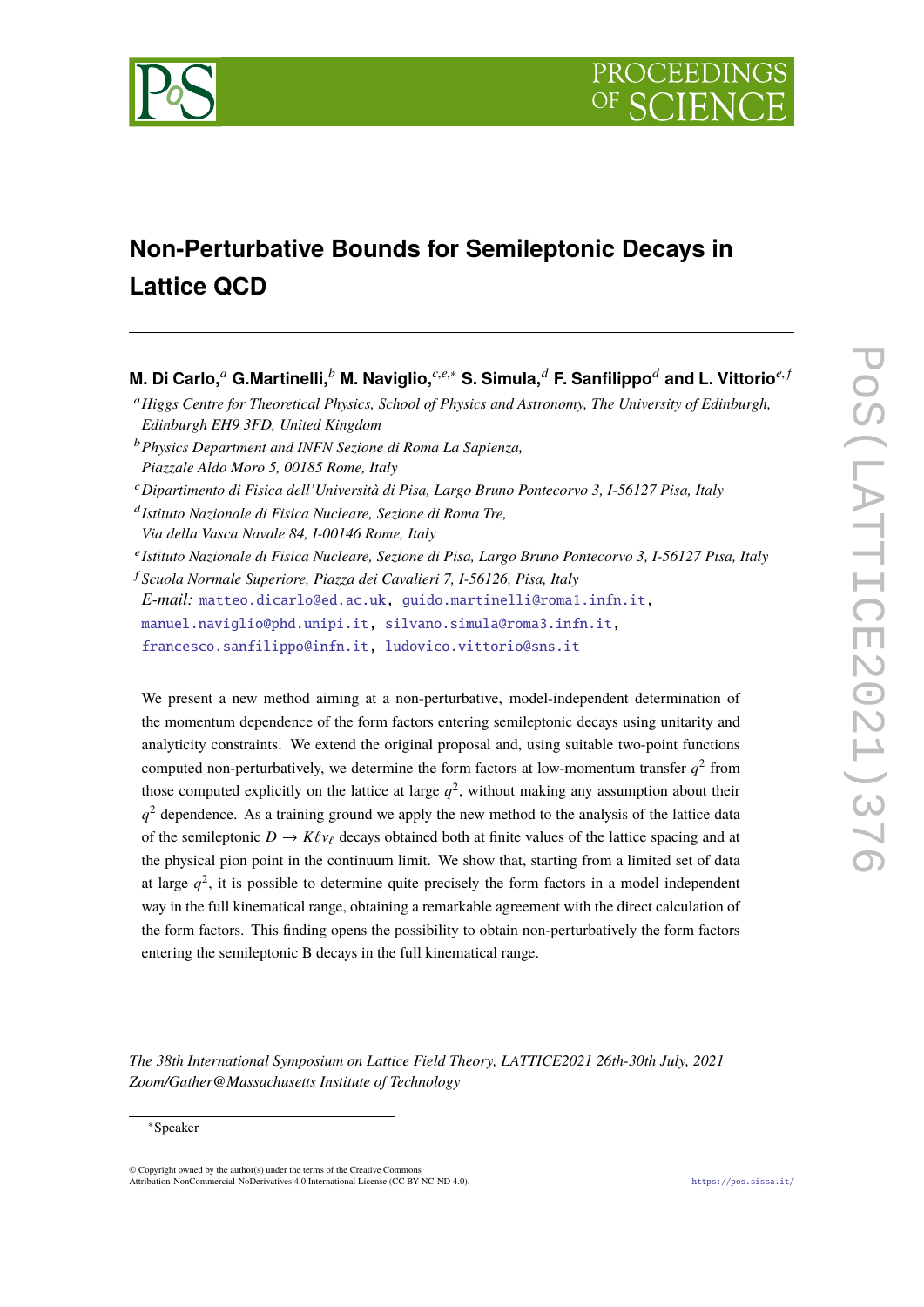

# **Non-Perturbative Bounds for Semileptonic Decays in Lattice QCD**

## **M. Di Carlo,***<sup>a</sup>* **G.Martinelli,***<sup>b</sup>* **M. Naviglio,***c*,*e*,<sup>∗</sup> **S. Simula,***<sup>d</sup>* **F. Sanfilippo***<sup>d</sup>* **and L. Vittorio***e*, *<sup>f</sup>*

- <sup>b</sup>*Physics Department and INFN Sezione di Roma La Sapienza, Piazzale Aldo Moro 5, 00185 Rome, Italy*
- <sup>c</sup>*Dipartimento di Fisica dell'Università di Pisa, Largo Bruno Pontecorvo 3, I-56127 Pisa, Italy*
- d *Istituto Nazionale di Fisica Nucleare, Sezione di Roma Tre,*
- *Via della Vasca Navale 84, I-00146 Rome, Italy*
- e *Istituto Nazionale di Fisica Nucleare, Sezione di Pisa, Largo Bruno Pontecorvo 3, I-56127 Pisa, Italy*
- <sup>f</sup> *Scuola Normale Superiore, Piazza dei Cavalieri 7, I-56126, Pisa, Italy*

*E-mail:* [matteo.dicarlo@ed.ac.uk,](mailto:matteo.dicarlo@ed.ac.uk) [guido.martinelli@roma1.infn.it,](mailto:guido.martinelli@roma1.infn.it)

[manuel.naviglio@phd.unipi.it,](mailto:manuel.naviglio@phd.unipi.it) [silvano.simula@roma3.infn.it,](mailto:silvano.simula@roma3.infn.it)

[francesco.sanfilippo@infn.it,](mailto:francesco.sanfilippo@infn.it) [ludovico.vittorio@sns.it](mailto:ludovico.vittorio@sns.it)

We present a new method aiming at a non-perturbative, model-independent determination of the momentum dependence of the form factors entering semileptonic decays using unitarity and analyticity constraints. We extend the original proposal and, using suitable two-point functions computed non-perturbatively, we determine the form factors at low-momentum transfer  $q^2$  from those computed explicitly on the lattice at large  $q^2$ , without making any assumption about their  $q<sup>2</sup>$  dependence. As a training ground we apply the new method to the analysis of the lattice data of the semileptonic  $D \to K \ell \nu_{\ell}$  decays obtained both at finite values of the lattice spacing and at the physical pion point in the continuum limit. We show that, starting from a limited set of data at large  $q^2$ , it is possible to determine quite precisely the form factors in a model independent way in the full kinematical range, obtaining a remarkable agreement with the direct calculation of the form factors. This finding opens the possibility to obtain non-perturbatively the form factors entering the semileptonic B decays in the full kinematical range.

*The 38th International Symposium on Lattice Field Theory, LATTICE2021 26th-30th July, 2021 Zoom/Gather@Massachusetts Institute of Technology*

#### <sup>∗</sup>Speaker

 $\odot$  Copyright owned by the author(s) under the terms of the Creative Common Attribution-NonCommercial-NoDerivatives 4.0 International License (CC BY-NC-ND 4.0). <https://pos.sissa.it/>

<sup>a</sup>*Higgs Centre for Theoretical Physics, School of Physics and Astronomy, The University of Edinburgh, Edinburgh EH9 3FD, United Kingdom*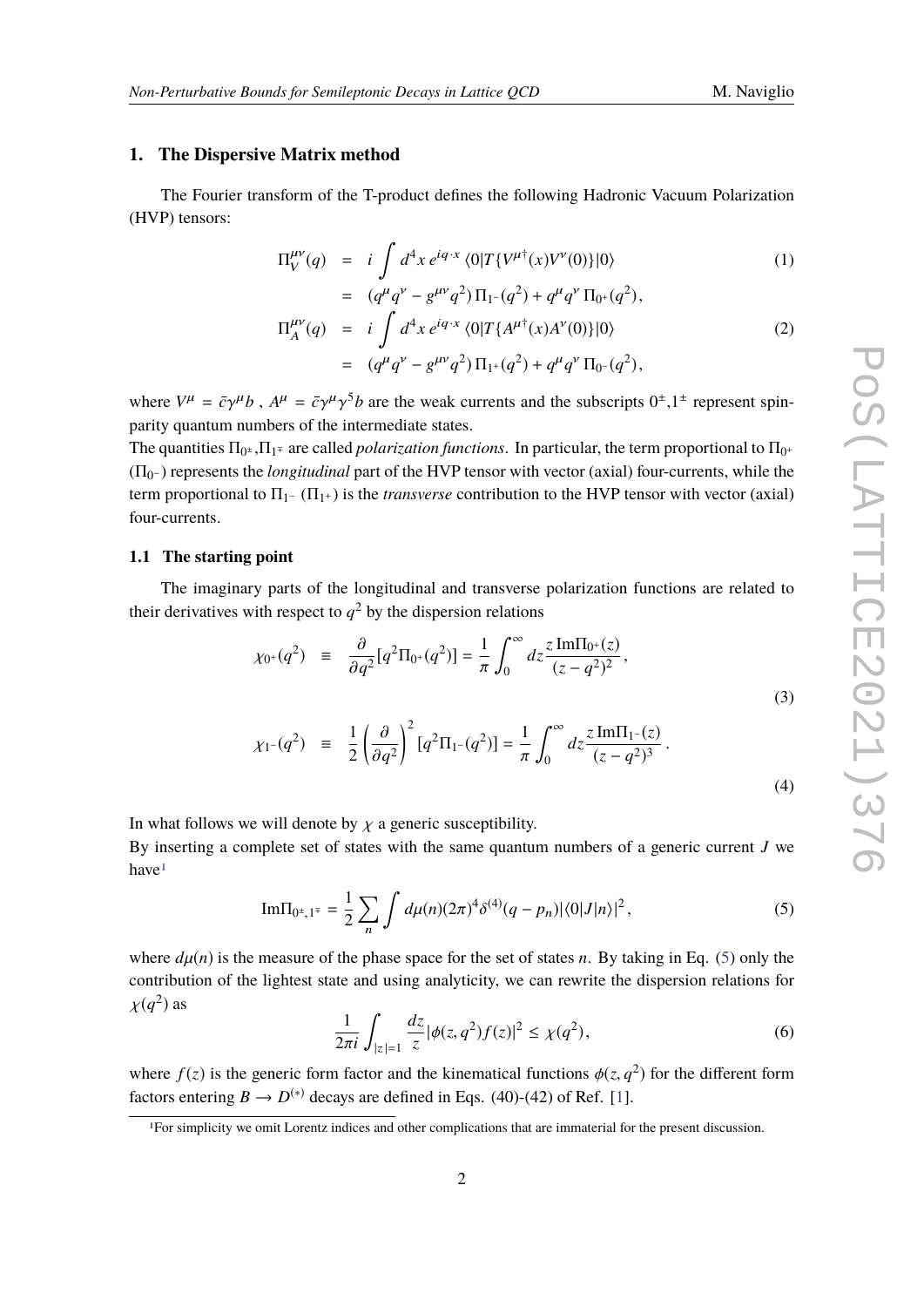(4)

#### **1. The Dispersive Matrix method**

The Fourier transform of the T-product defines the following Hadronic Vacuum Polarization (HVP) tensors:

$$
\Pi_V^{\mu\nu}(q) = i \int d^4x \, e^{iq \cdot x} \langle 0|T\{V^{\mu\dagger}(x)V^{\nu}(0)\}|0\rangle \tag{1}
$$

$$
= (q^{\mu}q^{\nu} - g^{\mu\nu}q^2) \Pi_{1} - (q^2) + q^{\mu}q^{\nu} \Pi_{0} + (q^2),
$$
  
\n
$$
\Pi_{A}^{\mu\nu}(q) = i \int d^4x e^{iq \cdot x} \langle 0|T\{A^{\mu\dagger}(x)A^{\nu}(0)\}|0\rangle
$$
  
\n
$$
= (q^{\mu}q^{\nu} - g^{\mu\nu}q^2) \Pi_{1} + (q^2) + q^{\mu}q^{\nu} \Pi_{0} - (q^2),
$$
\n(2)

where  $V^{\mu} = \bar{c}\gamma^{\mu}b$ ,  $A^{\mu} = \bar{c}\gamma^{\mu}\gamma^{5}b$  are the weak currents and the subscripts  $0^{\pm}$ ,  $1^{\pm}$  represent spinparity quantum numbers of the intermediate states.

The quantities  $\Pi_{0^{\pm}}$ ,  $\Pi_{1^{\mp}}$  are called *polarization functions*. In particular, the term proportional to  $\Pi_{0^+}$ (Π<sup>0</sup> <sup>−</sup> ) represents the *longitudinal* part of the HVP tensor with vector (axial) four-currents, while the term proportional to  $\Pi_{1}$ - ( $\Pi_{1+}$ ) is the *transverse* contribution to the HVP tensor with vector (axial) four-currents.

#### **1.1 The starting point**

The imaginary parts of the longitudinal and transverse polarization functions are related to their derivatives with respect to  $q^2$  by the dispersion relations

$$
\chi_{0^{+}}(q^{2}) = \frac{\partial}{\partial q^{2}}[q^{2}\Pi_{0^{+}}(q^{2})] = \frac{1}{\pi} \int_{0}^{\infty} dz \frac{z \operatorname{Im}\Pi_{0^{+}}(z)}{(z - q^{2})^{2}},
$$
  

$$
\chi_{1^{-}}(q^{2}) = \frac{1}{2} \left(\frac{\partial}{\partial q^{2}}\right)^{2} [q^{2}\Pi_{1^{-}}(q^{2})] = \frac{1}{\pi} \int_{0}^{\infty} dz \frac{z \operatorname{Im}\Pi_{1^{-}}(z)}{(z - q^{2})^{3}}.
$$
 (3)

 $\boldsymbol{0}$ 

$$
f_{\rm{max}}(x)=\frac{1}{2}x^2+\frac{1}{2}x^2+\frac{1}{2}x^2+\frac{1}{2}x^2+\frac{1}{2}x^2+\frac{1}{2}x^2+\frac{1}{2}x^2+\frac{1}{2}x^2+\frac{1}{2}x^2+\frac{1}{2}x^2+\frac{1}{2}x^2+\frac{1}{2}x^2+\frac{1}{2}x^2+\frac{1}{2}x^2+\frac{1}{2}x^2+\frac{1}{2}x^2+\frac{1}{2}x^2+\frac{1}{2}x^2+\frac{1}{2}x^2+\frac{1}{2}x^2+\frac{1}{2}x^2+\frac{1}{2}x^2+\frac{1}{2}x^2+\frac{1}{2}x^2+\frac{1}{2}x^2+\frac{1}{2}x^2+\frac{1}{2}x^2+\frac{1}{2}x^2+\frac{1}{2}x^2+\frac{1}{2}x^2+\frac{1}{2}x^2+\frac{1}{2}x^2+\frac{1}{2}x^2+\frac{1}{2}x^2+\frac{1}{2}x^2+\frac{1}{2}x^2+\frac{1}{2}x^2+\frac{1}{2}x^2+\frac{1}{2}x^2+\frac{1}{2}x^2+\frac{1}{2}x^2+\frac{1}{2}x^2+\frac{1}{2}x^2+\frac{1}{2}x^2+\frac{1}{2}x^2+\frac{1}{2}x^2+\frac{1}{2}x^2+\frac{1}{2}x^2+\frac{1}{2}x^2+\frac{1}{2}x^2+\frac{1}{2}x^2+\frac{1}{2}x^2+\frac{1}{2}x^2+\frac{1}{2}x^2+\frac{1}{2}x^2+\frac{1}{2}x^2+\frac{1}{2}x^2+\frac{1}{2}x^2+\frac{1}{2}x^2+\frac{1}{2}x^2+\frac{1}{2}x^2+\frac{1}{2}x^2+\frac{1}{2}x^2+\frac{1}{2}x^2+\frac{1}{2}x^2+\frac{1}{2}x^2+\frac{1}{2}x^2+\frac{1}{2}x^2+\frac{1}{2}x^2+\frac{1}{2}x^2+\frac{1}{2}x^2+\frac{1}{2}x^2+\frac{1}{2}x^2+\frac{1}{2}x^2+\frac{1}{2}x^
$$

In what follows we will denote by  $\chi$  a generic susceptibility.

2

By inserting a complete set of states with the same quantum numbers of a generic current *J* we have[1](#page-1-0)

<span id="page-1-1"></span>Im
$$
\Pi_{0^{\pm},1^{\mp}} = \frac{1}{2} \sum_{n} \int d\mu(n) (2\pi)^{4} \delta^{(4)}(q - p_{n}) |\langle 0|J|n \rangle|^{2},
$$
 (5)

where  $d\mu(n)$  is the measure of the phase space for the set of states *n*. By taking in Eq. [\(5\)](#page-1-1) only the contribution of the lightest state and using analyticity, we can rewrite the dispersion relations for  $\chi(q^2)$  as

<span id="page-1-2"></span>
$$
\frac{1}{2\pi i} \int_{|z|=1} \frac{dz}{z} |\phi(z, q^2)f(z)|^2 \le \chi(q^2),\tag{6}
$$

where  $f(z)$  is the generic form factor and the kinematical functions  $\phi(z, q^2)$  for the different form factors entering  $B \to D^{(*)}$  decays are defined in Eqs. (40)-(42) of Ref. [\[1\]](#page-10-0).

<span id="page-1-0"></span><sup>1</sup>For simplicity we omit Lorentz indices and other complications that are immaterial for the present discussion.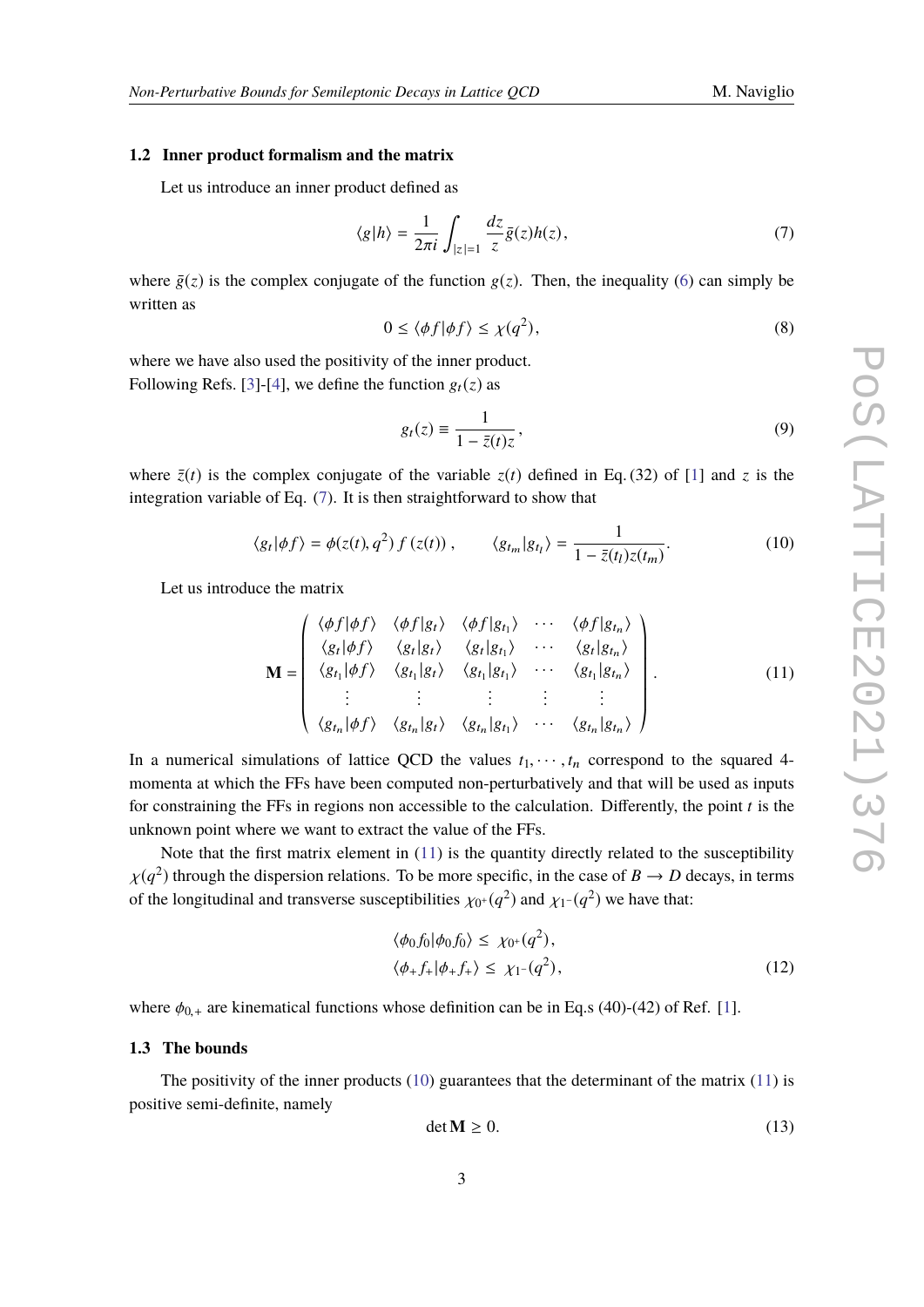#### **1.2 Inner product formalism and the matrix**

Let us introduce an inner product defined as

<span id="page-2-0"></span>
$$
\langle g|h\rangle = \frac{1}{2\pi i} \int_{|z|=1} \frac{dz}{z} \bar{g}(z)h(z),\tag{7}
$$

where  $\bar{g}(z)$  is the complex conjugate of the function  $g(z)$ . Then, the inequality [\(6\)](#page-1-2) can simply be written as

$$
0 \le \langle \phi f | \phi f \rangle \le \chi(q^2), \tag{8}
$$

where we have also used the positivity of the inner product. Following Refs. [\[3\]](#page-10-1)-[\[4\]](#page-10-2), we define the function  $g_t(z)$  as

$$
g_t(z) \equiv \frac{1}{1 - \bar{z}(t)z},\tag{9}
$$

where  $\bar{z}(t)$  is the complex conjugate of the variable  $z(t)$  defined in Eq. (32) of [\[1\]](#page-10-0) and *z* is the integration variable of Eq. [\(7\)](#page-2-0). It is then straightforward to show that

<span id="page-2-2"></span>
$$
\langle g_t | \phi f \rangle = \phi(z(t), q^2) f(z(t)), \qquad \langle g_{t_m} | g_{t_l} \rangle = \frac{1}{1 - \bar{z}(t_l) z(t_m)}.
$$
 (10)

Let us introduce the matrix

<span id="page-2-1"></span>
$$
\mathbf{M} = \begin{pmatrix} \langle \phi f | \phi f \rangle & \langle \phi f | g_t \rangle & \langle \phi f | g_{t_1} \rangle & \cdots & \langle \phi f | g_{t_n} \rangle \\ \langle g_t | \phi f \rangle & \langle g_t | g_t \rangle & \langle g_t | g_{t_1} \rangle & \cdots & \langle g_t | g_{t_n} \rangle \\ \langle g_{t_1} | \phi f \rangle & \langle g_{t_1} | g_t \rangle & \langle g_{t_1} | g_{t_1} \rangle & \cdots & \langle g_{t_1} | g_{t_n} \rangle \\ \vdots & \vdots & \vdots & \vdots & \vdots \\ \langle g_{t_n} | \phi f \rangle & \langle g_{t_n} | g_t \rangle & \langle g_{t_n} | g_{t_1} \rangle & \cdots & \langle g_{t_n} | g_{t_n} \rangle \end{pmatrix} . \tag{11}
$$

In a numerical simulations of lattice QCD the values  $t_1, \dots, t_n$  correspond to the squared 4momenta at which the FFs have been computed non-perturbatively and that will be used as inputs for constraining the FFs in regions non accessible to the calculation. Differently, the point *t* is the unknown point where we want to extract the value of the FFs.

Note that the first matrix element in  $(11)$  is the quantity directly related to the susceptibility  $\chi(q^2)$  through the dispersion relations. To be more specific, in the case of *B*  $\rightarrow$  *D* decays, in terms of the longitudinal and transvarge quegentibilities  $\mu$ ,  $(a^2)$  and  $\mu$ ,  $(a^2)$  we have that of the longitudinal and transverse susceptibilities  $\chi_{0^+}(q^2)$  and  $\chi_{1^-}(q^2)$  we have that:

$$
\langle \phi_0 f_0 | \phi_0 f_0 \rangle \le \chi_{0^+}(q^2),
$$
  

$$
\langle \phi_+ f_+ | \phi_+ f_+ \rangle \le \chi_{1^-}(q^2),
$$
 (12)

where  $\phi_{0,+}$  are kinematical functions whose definition can be in Eq.s (40)-(42) of Ref. [\[1\]](#page-10-0).

#### **1.3 The bounds**

The positivity of the inner products  $(10)$  guarantees that the determinant of the matrix  $(11)$  is positive semi-definite, namely

$$
\det \mathbf{M} \ge 0. \tag{13}
$$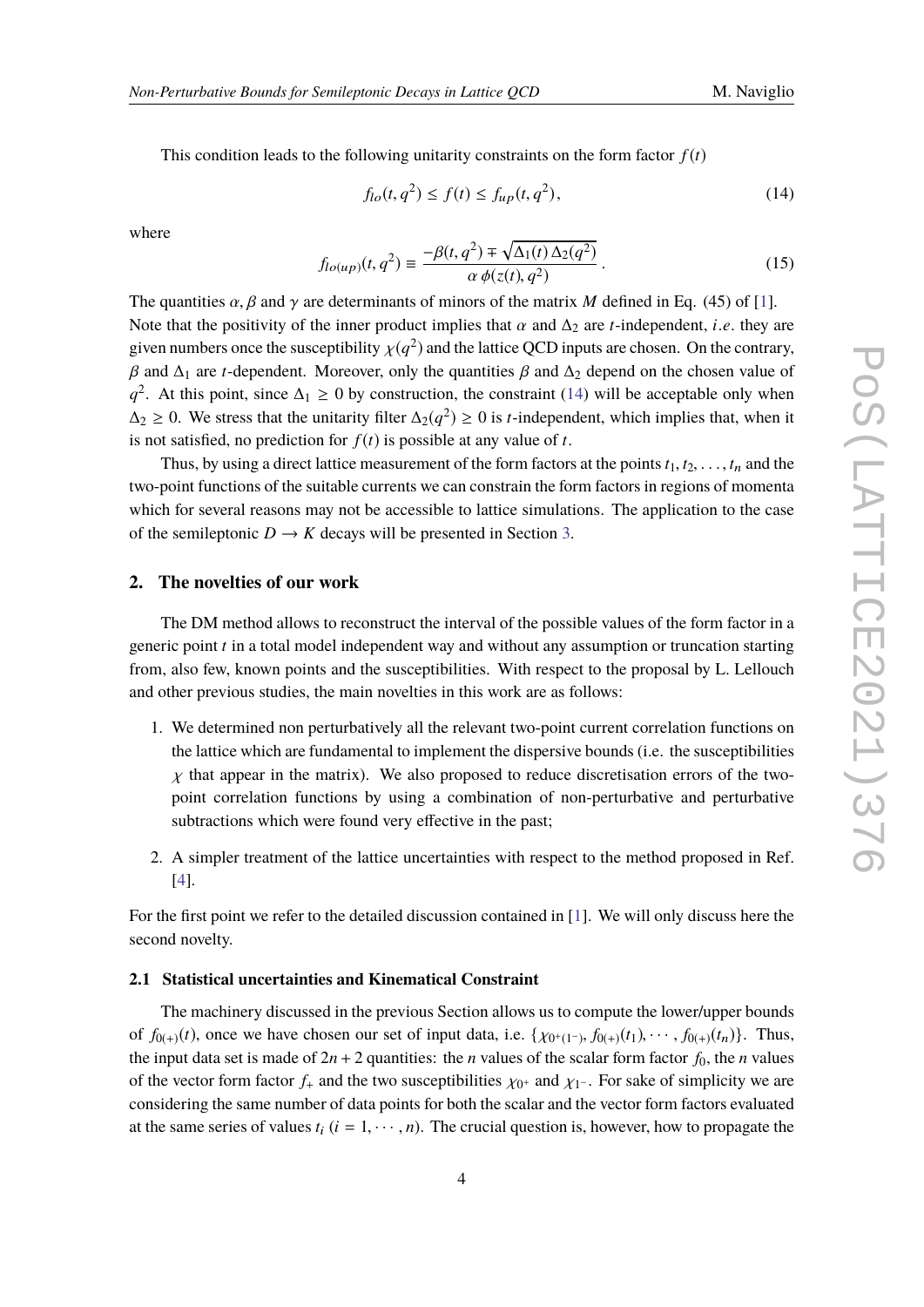This condition leads to the following unitarity constraints on the form factor  $f(t)$ 

<span id="page-3-0"></span>
$$
f_{lo}(t, q^2) \le f(t) \le f_{up}(t, q^2),
$$
\n(14)

where

<span id="page-3-1"></span>
$$
f_{lo(up)}(t, q^2) \equiv \frac{-\beta(t, q^2) \mp \sqrt{\Delta_1(t) \Delta_2(q^2)}}{\alpha \phi(z(t), q^2)}.
$$
\n(15)

The quantities  $\alpha$ ,  $\beta$  and  $\gamma$  are determinants of minors of the matrix *M* defined in Eq. (45) of [\[1\]](#page-10-0). Note that the positivity of the inner product implies that  $\alpha$  and  $\Delta_2$  are *t*-independent, *i*.*e*. they are given numbers once the susceptibility  $\chi(q^2)$  and the lattice QCD inputs are chosen. On the contrary,  $β$  and  $Δ_1$  are *t*-dependent. Moreover, only the quantities  $β$  and  $Δ_2$  depend on the chosen value of  $q^2$ . At this point, since  $\Delta_1 \geq 0$  by construction, the constraint [\(14\)](#page-3-0) will be acceptable only when  $\Delta_2$  ≥ 0. We stress that the unitarity filter  $\Delta_2(q^2) \ge 0$  is *t*-independent, which implies that, when it is not satisfied, no prediction for  $f(t)$  is possible at any value of *t*.

Thus, by using a direct lattice measurement of the form factors at the points  $t_1, t_2, \ldots, t_n$  and the two-point functions of the suitable currents we can constrain the form factors in regions of momenta which for several reasons may not be accessible to lattice simulations. The application to the case of the semileptonic  $D \to K$  decays will be presented in Section [3.](#page-6-0)

#### **2. The novelties of our work**

The DM method allows to reconstruct the interval of the possible values of the form factor in a generic point *t* in a total model independent way and without any assumption or truncation starting from, also few, known points and the susceptibilities. With respect to the proposal by L. Lellouch and other previous studies, the main novelties in this work are as follows:

- 1. We determined non perturbatively all the relevant two-point current correlation functions on the lattice which are fundamental to implement the dispersive bounds (i.e. the susceptibilities  $\chi$  that appear in the matrix). We also proposed to reduce discretisation errors of the twopoint correlation functions by using a combination of non-perturbative and perturbative subtractions which were found very effective in the past;
- 2. A simpler treatment of the lattice uncertainties with respect to the method proposed in Ref. [\[4\]](#page-10-2).

For the first point we refer to the detailed discussion contained in [\[1\]](#page-10-0). We will only discuss here the second novelty.

#### **2.1 Statistical uncertainties and Kinematical Constraint**

The machinery discussed in the previous Section allows us to compute the lower/upper bounds of  $f_{0(+)}(t)$ , once we have chosen our set of input data, i.e.  $\{\chi_{0^+(1^-)}, f_{0(+)}(t_1), \cdots, f_{0(+)}(t_n)\}$ . Thus, the input data set is made of  $2n + 2$  quantities: the *n* values of the scalar form factor  $f_0$ , the *n* values of the vector form factor  $f_+$  and the two susceptibilities  $\chi_{0^+}$  and  $\chi_{1^-}$ . For sake of simplicity we are associated to a second the second the second the second theory of the second the second theory of the seco considering the same number of data points for both the scalar and the vector form factors evaluated at the same series of values  $t_i$  ( $i = 1, \dots, n$ ). The crucial question is, however, how to propagate the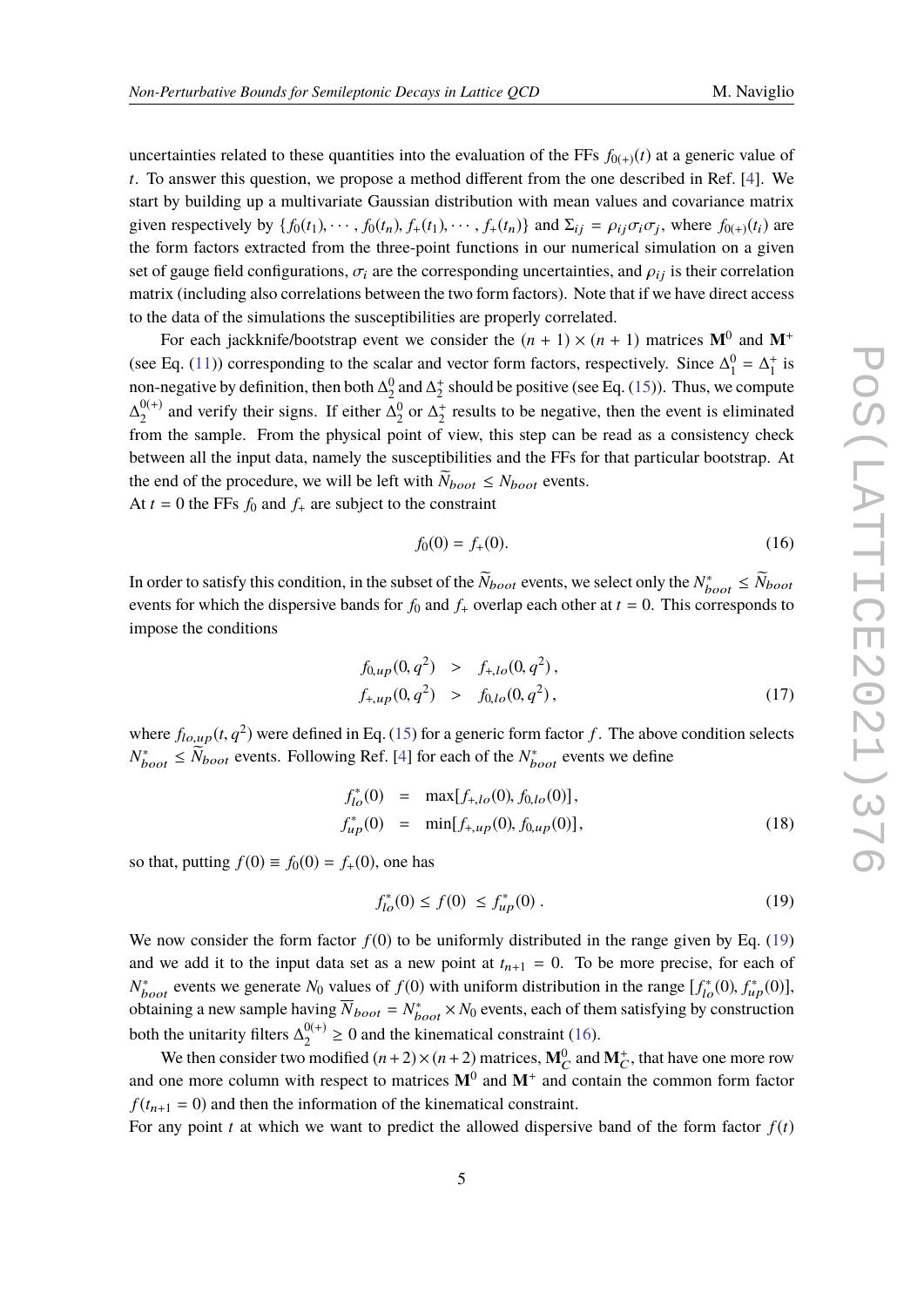uncertainties related to these quantities into the evaluation of the FFs  $f_{0(+)}(t)$  at a generic value of *t*. To answer this question, we propose a method different from the one described in Ref. [\[4\]](#page-10-2). We start by building up a multivariate Gaussian distribution with mean values and covariance matrix given respectively by  $\{f_0(t_1), \dots, f_0(t_n), f_+(t_1), \dots, f_+(t_n)\}$  and  $\Sigma_{ij} = \rho_{ij}\sigma_i\sigma_j$ , where  $f_{0(+)}(t_i)$  are the form forters attracted from the three point functions in our numerical simulation on a given the form factors extracted from the three-point functions in our numerical simulation on a given set of gauge field configurations,  $\sigma_i$  are the corresponding uncertainties, and  $\rho_{ij}$  is their correlation matrix (including also correlations between the two form factors). Note that if we have direct access to the data of the simulations the susceptibilities are properly correlated.

For each jackknife/bootstrap event we consider the  $(n + 1) \times (n + 1)$  matrices  $M^0$  and  $M^+$ (see Eq. [\(11\)](#page-2-1)) corresponding to the scalar and vector form factors, respectively. Since  $\Delta_1^0 = \Delta_1^+$  is non-negative by definition, then both  $\Delta_2^0$  and  $\Delta_2^+$  should be positive (see Eq. [\(15\)](#page-3-1)). Thus, we compute  $\Delta_{2}^{0(+)}$  $_{2}^{0(+)}$  and verify their signs. If either  $\Delta_{2}^{0}$  or  $\Delta_{2}^{+}$  results to be negative, then the event is eliminated from the sample. From the physical point of view, this step can be read as a consistency check between all the input data, namely the susceptibilities and the FFs for that particular bootstrap. At the end of the procedure, we will be left with  $\bar{N}_{boot} \le N_{boot}$  events.

At  $t = 0$  the FFs  $f_0$  and  $f_+$  are subject to the constraint

<span id="page-4-1"></span>
$$
f_0(0) = f_+(0). \tag{16}
$$

In order to satisfy this condition, in the subset of the  $\bar{N}_{boot}$  events, we select only the  $N^*_{boot} \le \bar{N}_{boot}$ events for which the dispersive bands for  $f_0$  and  $f_+$  overlap each other at  $t = 0$ . This corresponds to impose the conditions

$$
f_{0,up}(0, q^2) > f_{+,lo}(0, q^2), f_{+,up}(0, q^2) > f_{0,lo}(0, q^2),
$$
\n(17)

where  $f_{l_o,up}(t, q^2)$  were defined in Eq. [\(15\)](#page-3-1) for a generic form factor *f*. The above condition selects  $N^*_{boot}$  ≤  $\widetilde{N}_{boot}$  events. Following Ref. [\[4\]](#page-10-2) for each of the  $N^*_{boot}$  events we define

$$
f_{lo}^*(0) = \max[f_{+,lo}(0), f_{0,lo}(0)],
$$
  
\n
$$
f_{up}^*(0) = \min[f_{+,up}(0), f_{0,up}(0)],
$$
\n(18)

so that, putting  $f(0) = f_0(0) = f_+(0)$ , one has

<span id="page-4-0"></span>
$$
f_{lo}^*(0) \le f(0) \le f_{up}^*(0) \tag{19}
$$

We now consider the form factor  $f(0)$  to be uniformly distributed in the range given by Eq. [\(19\)](#page-4-0) and we add it to the input data set as a new point at  $t_{n+1} = 0$ . To be more precise, for each of  $N_{boot}^*$  events we generate  $N_0$  values of *f* (0) with uniform distribution in the range  $[f_{lo}^*(0), f_{up}^*(0)]$ , abtaining a new semple having  $\overline{N}$   $N^*$   $\rightarrow$  *N*<sup>\*</sup>  $\rightarrow$  *N*<sup>\*</sup> avents aseb of them satisfying by sonstru obtaining a new sample having  $\overline{N}_{boot} = N_{boot}^* \times N_0$  events, each of them satisfying by construction both the unitarity filters  $\Delta_2^{0(+)}$  $2^{0(+)} \ge 0$  and the kinematical constraint [\(16\)](#page-4-1).

We then consider two modified  $(n+2) \times (n+2)$  matrices,  $M_C^0$  and  $M_C^+$ , that have one more row and one more column with respect to matrices  $M^0$  and  $M^+$  and contain the common form factor  $f(t_{n+1} = 0)$  and then the information of the kinematical constraint.

For any point  $t$  at which we want to predict the allowed dispersive band of the form factor  $f(t)$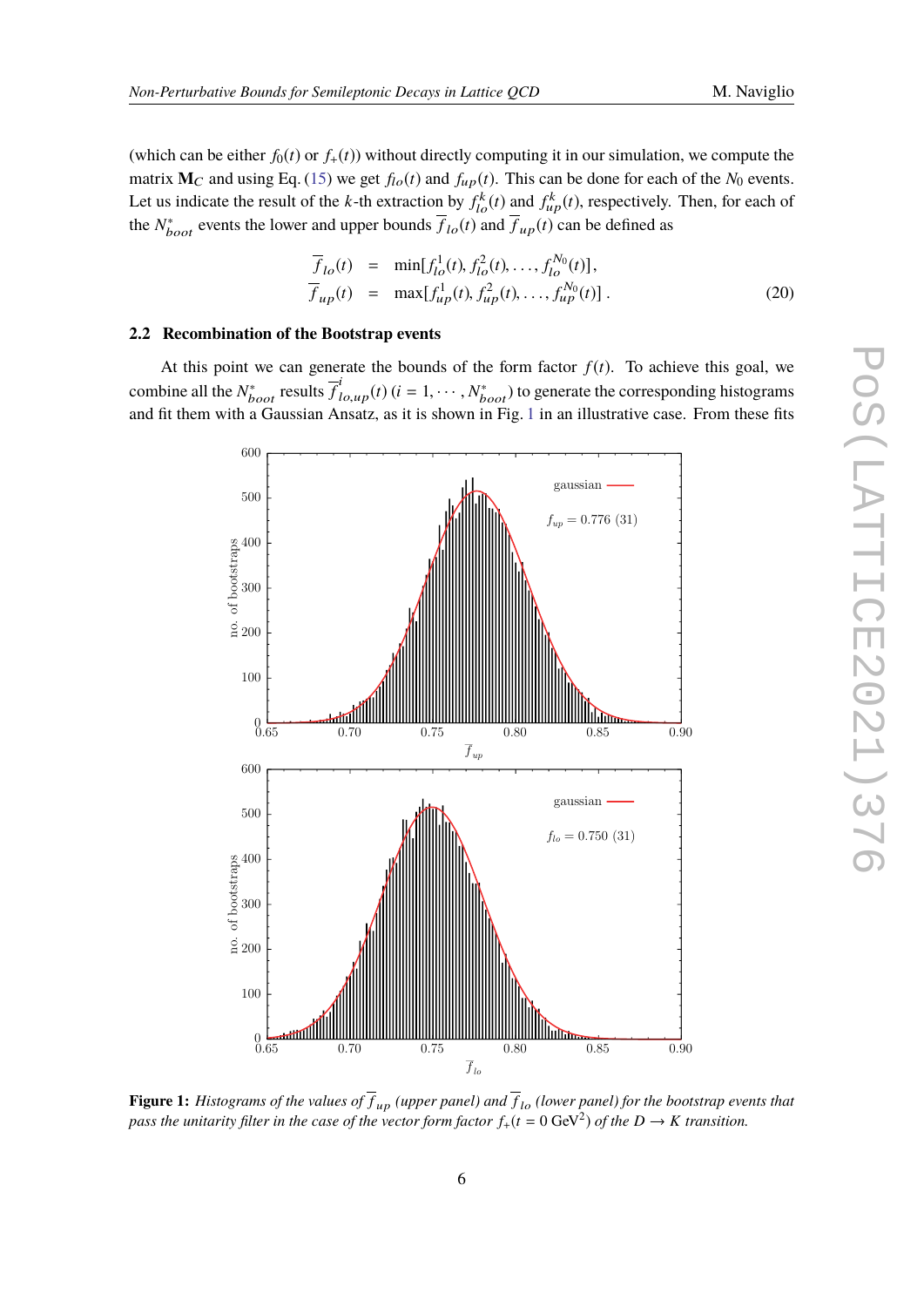(which can be either  $f_0(t)$  or  $f_+(t)$ ) without directly computing it in our simulation, we compute the matrix  $M_C$  and using Eq. [\(15\)](#page-3-1) we get  $f_{lo}(t)$  and  $f_{up}(t)$ . This can be done for each of the  $N_0$  events. Let us indicate the result of the *k*-th extraction by  $f_{lo}^k(t)$  and  $f_{up}^k(t)$ , respectively. Then, for each of the  $N^*_{boot}$  events the lower and upper bounds  $\overline{f}_{lo}(t)$  and  $\overline{f}_{up}(t)$  can be defined as

$$
\overline{f}_{lo}(t) = \min[f_{lo}^1(t), f_{lo}^2(t), \dots, f_{lo}^{N_0}(t)], \n\overline{f}_{up}(t) = \max[f_{up}^1(t), f_{up}^2(t), \dots, f_{up}^{N_0}(t)].
$$
\n(20)

#### **2.2 Recombination of the Bootstrap events**

<span id="page-5-0"></span>At this point we can generate the bounds of the form factor  $f(t)$ . To achieve this goal, we combine all the  $N_{boot}^*$  results  $\overline{f}_{lo,up}^i(t)$  ( $i = 1, \dots, N_{boot}^*$ ) to generate the corresponding histograms<br>and fit them with a Coussian Aposta, as it is shown in Fig. 1 in an illustrative asso. From these fits and fit them with a Gaussian Ansatz, as it is shown in Fig. [1](#page-5-0) in an illustrative case. From these fits



**Figure 1:** *Histograms of the values of*  $f_{up}$  *(upper panel) and*  $f_{lo}$  *(lower panel) for the bootstrap events that* pass the unitarity filter in the case of the vector form factor  $f_+(t=0~\text{GeV}^2)$  of the  $D\to K$  transition.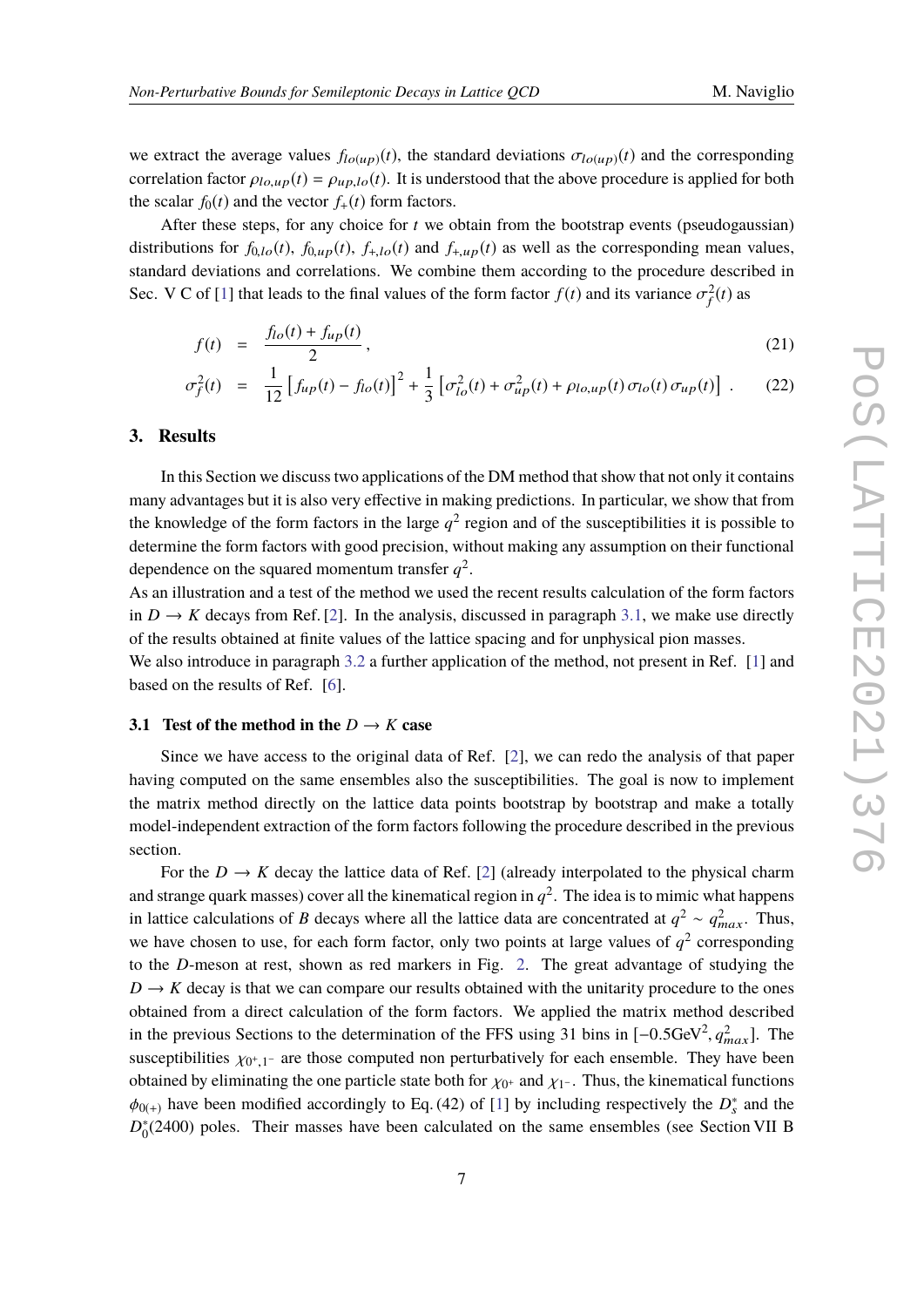we extract the average values  $f_{lo(up)}(t)$ , the standard deviations  $\sigma_{lo(up)}(t)$  and the corresponding correlation factor  $\rho_{lo,up}(t) = \rho_{up,lo}(t)$ . It is understood that the above procedure is applied for both the scalar  $f_0(t)$  and the vector  $f_+(t)$  form factors.

After these steps, for any choice for  $t$  we obtain from the bootstrap events (pseudogaussian) distributions for  $f_{0,lo}(t)$ ,  $f_{0,up}(t)$ ,  $f_{+,lo}(t)$  and  $f_{+,up}(t)$  as well as the corresponding mean values, standard deviations and correlations. We combine them according to the procedure described in Sec. V C of [\[1\]](#page-10-0) that leads to the final values of the form factor  $f(t)$  and its variance  $\sigma_f^2(t)$  as

$$
f(t) = \frac{f_{lo}(t) + f_{up}(t)}{2},
$$
\n(21)

$$
\sigma_f^2(t) = \frac{1}{12} \left[ f_{up}(t) - f_{lo}(t) \right]^2 + \frac{1}{3} \left[ \sigma_{lo}^2(t) + \sigma_{up}^2(t) + \rho_{lo,up}(t) \sigma_{lo}(t) \sigma_{up}(t) \right]. \tag{22}
$$

#### <span id="page-6-0"></span>**3. Results**

In this Section we discuss two applications of the DM method that show that not only it contains many advantages but it is also very effective in making predictions. In particular, we show that from the knowledge of the form factors in the large  $q^2$  region and of the susceptibilities it is possible to determine the form factors with good precision, without making any assumption on their functional dependence on the squared momentum transfer  $q^2$ .

As an illustration and a test of the method we used the recent results calculation of the form factors in  $D \to K$  decays from Ref. [\[2\]](#page-10-3). In the analysis, discussed in paragraph [3.1,](#page-6-1) we make use directly of the results obtained at finite values of the lattice spacing and for unphysical pion masses.

We also introduce in paragraph [3.2](#page-8-0) a further application of the method, not present in Ref. [\[1\]](#page-10-0) and based on the results of Ref. [\[6\]](#page-10-4).

#### <span id="page-6-1"></span>**3.1** Test of the method in the  $D \rightarrow K$  case

Since we have access to the original data of Ref. [\[2\]](#page-10-3), we can redo the analysis of that paper having computed on the same ensembles also the susceptibilities. The goal is now to implement the matrix method directly on the lattice data points bootstrap by bootstrap and make a totally model-independent extraction of the form factors following the procedure described in the previous section.

For the  $D \to K$  decay the lattice data of Ref. [\[2\]](#page-10-3) (already interpolated to the physical charm and strange quark masses) cover all the kinematical region in  $q^2$ . The idea is to mimic what happens in lattice calculations of *B* decays where all the lattice data are concentrated at  $q^2 \sim q_{max}^2$ . Thus, we have chosen to use, for each form factor, only two points at large values of  $q^2$  corresponding to the *D*-meson at rest, shown as red markers in Fig. [2.](#page-7-0) The great advantage of studying the  $D \rightarrow K$  decay is that we can compare our results obtained with the unitarity procedure to the ones obtained from a direct calculation of the form factors. We applied the matrix method described in the previous Sections to the determination of the FFS using 31 bins in  $[-0.5 \text{GeV}^2, q_{max}^2]$ . The susceptibilities  $\chi_{0^+,1^-}$  are those computed non perturbatively for each ensemble. They have been<br>obtained by eliminating the are pertials at the help for  $\chi_{0^+,0^-}$ . Thus, the kinematical functions obtained by eliminating the one particle state both for  $\chi_{0^+}$  and  $\chi_{1^-}$ . Thus, the kinematical functions  $t_{\text{obs}}$  have been medified accordingly to  $\Gamma_2$  (42) of [1] by including accordingly the  $\Gamma_2^*$  and the  $\phi_{0(+)}$  have been modified accordingly to Eq. (42) of [\[1\]](#page-10-0) by including respectively the  $D_s^*$  and the  $D_s^*$  and the  $D_s^*$  and the  $D_s^*$ D<sup>∗</sup>  $_{0}^{*}(2400)$  poles. Their masses have been calculated on the same ensembles (see Section VII B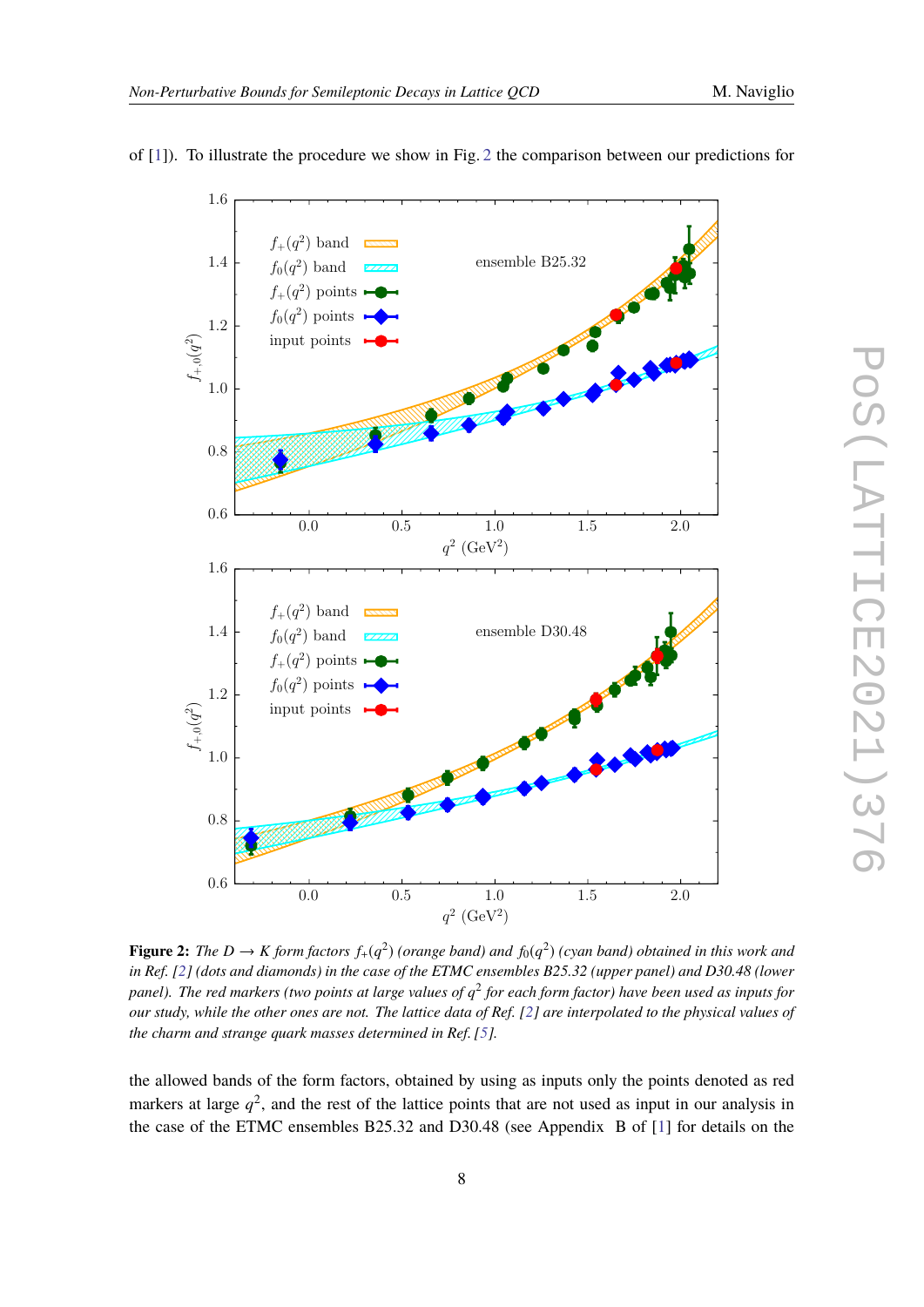<span id="page-7-0"></span>

of [\[1\]](#page-10-0)). To illustrate the procedure we show in Fig. [2](#page-7-0) the comparison between our predictions for

**Figure 2:** The  $D \to K$  form factors  $f_+(q^2)$  (orange band) and  $f_0(q^2)$  (cyan band) obtained in this work and *in Ref. [\[2\]](#page-10-3) (dots and diamonds) in the case of the ETMC ensembles B25.32 (upper panel) and D30.48 (lower panel). The red markers (two points at large values of q* 2 *for each form factor) have been used as inputs for our study, while the other ones are not. The lattice data of Ref. [\[2\]](#page-10-3) are interpolated to the physical values of the charm and strange quark masses determined in Ref. [\[5\]](#page-10-5).*

the allowed bands of the form factors, obtained by using as inputs only the points denoted as red markers at large  $q^2$ , and the rest of the lattice points that are not used as input in our analysis in the case of the ETMC ensembles B25.32 and D30.48 (see Appendix B of [\[1\]](#page-10-0) for details on the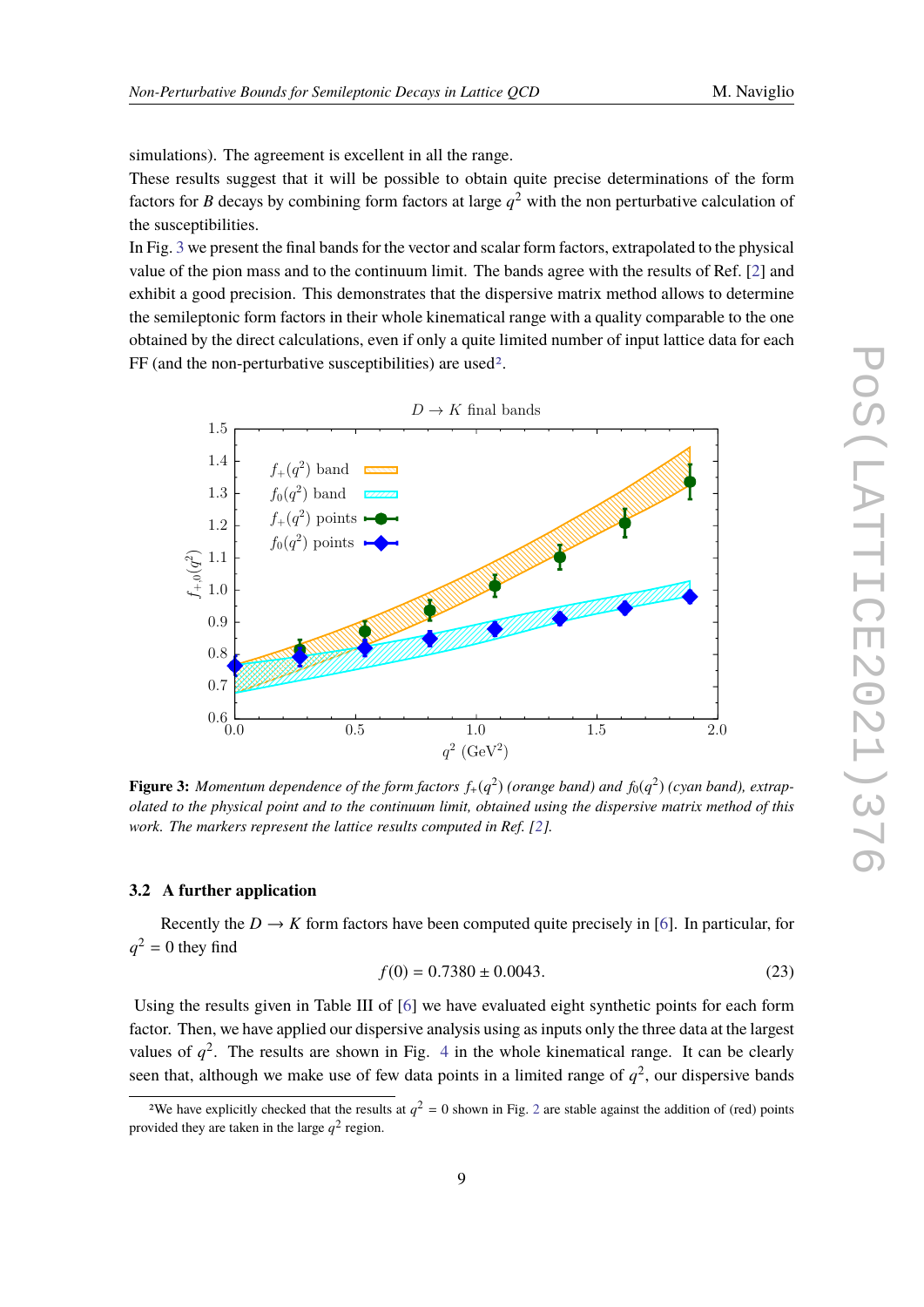simulations). The agreement is excellent in all the range.

These results suggest that it will be possible to obtain quite precise determinations of the form factors for *B* decays by combining form factors at large  $q^2$  with the non perturbative calculation of the susceptibilities.

In Fig. [3](#page-8-1) we present the final bands for the vector and scalar form factors, extrapolated to the physical value of the pion mass and to the continuum limit. The bands agree with the results of Ref. [\[2\]](#page-10-3) and exhibit a good precision. This demonstrates that the dispersive matrix method allows to determine the semileptonic form factors in their whole kinematical range with a quality comparable to the one obtained by the direct calculations, even if only a quite limited number of input lattice data for each FF (and the non-perturbative susceptibilities) are used<sup>[2](#page-8-2)</sup>.

<span id="page-8-1"></span>

**Figure 3:** Momentum dependence of the form factors  $f_+(q^2)$  (orange band) and  $f_0(q^2)$  (cyan band), extrap*olated to the physical point and to the continuum limit, obtained using the dispersive matrix method of this work. The markers represent the lattice results computed in Ref. [\[2\]](#page-10-3).* 

#### <span id="page-8-0"></span>**3.2 A further application**

Recently the  $D \to K$  form factors have been computed quite precisely in [\[6\]](#page-10-4). In particular, for  $q^2 = 0$  they find

$$
f(0) = 0.7380 \pm 0.0043. \tag{23}
$$

Using the results given in Table III of [\[6\]](#page-10-4) we have evaluated eight synthetic points for each form factor. Then, we have applied our dispersive analysis using as inputs only the three data at the largest values of  $q^2$ . The results are shown in Fig. [4](#page-9-0) in the whole kinematical range. It can be clearly seen that, although we make use of few data points in a limited range of  $q^2$ , our dispersive bands

<span id="page-8-2"></span><sup>&</sup>lt;sup>[2](#page-7-0)</sup>We have explicitly checked that the results at  $q^2 = 0$  shown in Fig. 2 are stable against the addition of (red) points provided they are taken in the large  $q^2$  region.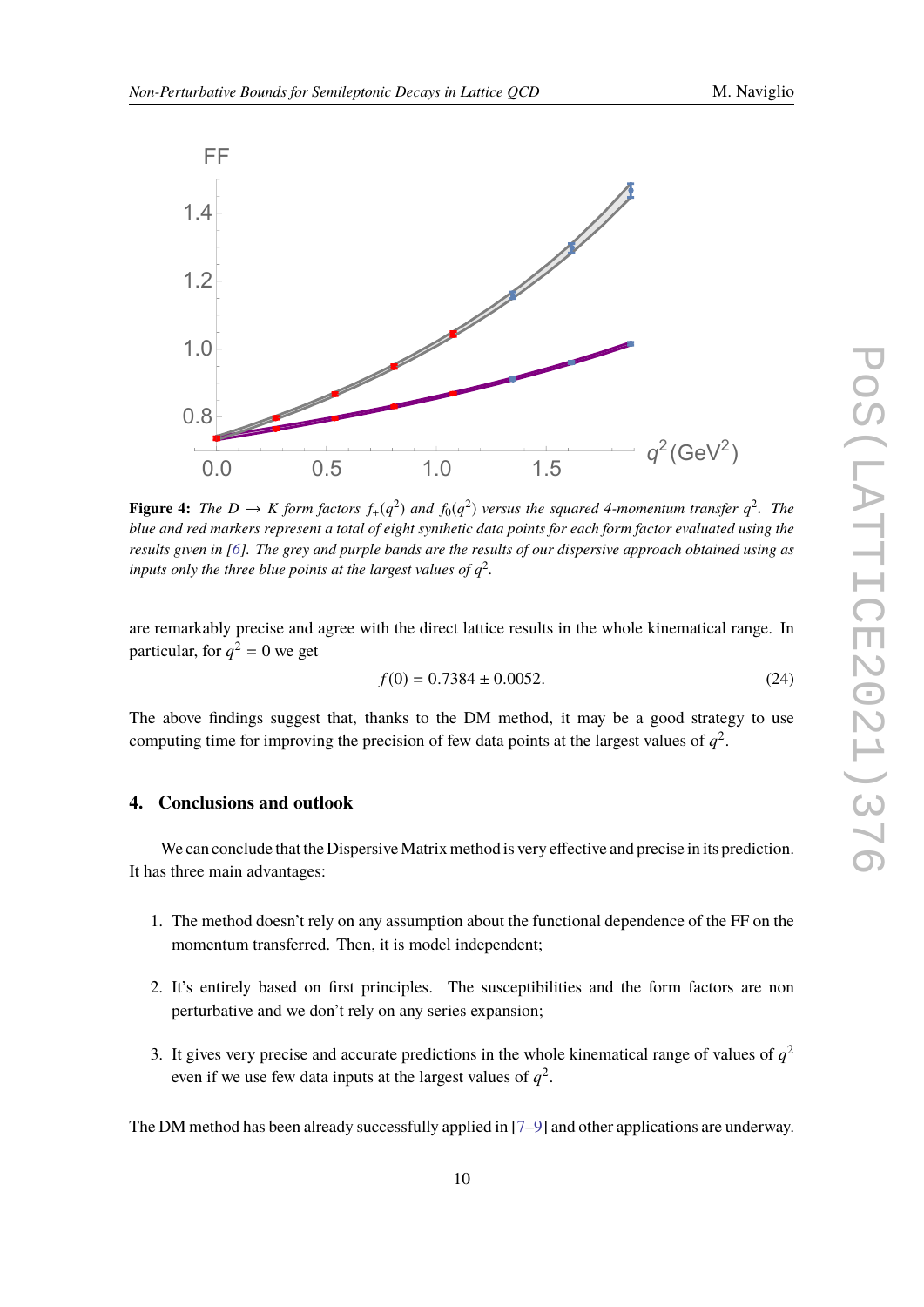<span id="page-9-0"></span>

**Figure 4:** The  $D \to K$  form factors  $f_+(q^2)$  and  $f_0(q^2)$  versus the squared 4-momentum transfer  $q^2$ . The *blue and red markers represent a total of eight synthetic data points for each form factor evaluated using the results given in [\[6\]](#page-10-4). The grey and purple bands are the results of our dispersive approach obtained using as* inputs only the three blue points at the largest values of  $q^2$ .

are remarkably precise and agree with the direct lattice results in the whole kinematical range. In particular, for  $q^2 = 0$  we get

$$
f(0) = 0.7384 \pm 0.0052. \tag{24}
$$

The above findings suggest that, thanks to the DM method, it may be a good strategy to use computing time for improving the precision of few data points at the largest values of  $q^2$ .

#### **4. Conclusions and outlook**

We can conclude that the Dispersive Matrix method is very effective and precise in its prediction. It has three main advantages:

- 1. The method doesn't rely on any assumption about the functional dependence of the FF on the momentum transferred. Then, it is model independent;
- 2. It's entirely based on first principles. The susceptibilities and the form factors are non perturbative and we don't rely on any series expansion;
- 3. It gives very precise and accurate predictions in the whole kinematical range of values of  $q<sup>2</sup>$ even if we use few data inputs at the largest values of  $q^2$ .

The DM method has been already successfully applied in [\[7–](#page-10-6)[9\]](#page-10-7) and other applications are underway.